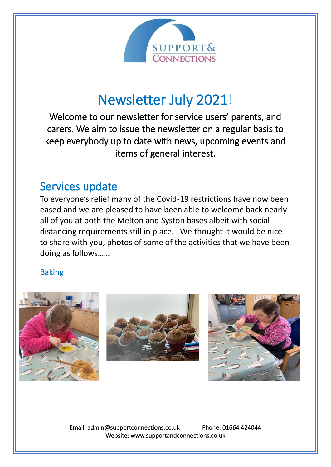

# Newsletter July 2021!

Welcome to our newsletter for service users' parents, and carers. We aim to issue the newsletter on a regular basis to keep everybody up to date with news, upcoming events and items of general interest.

### Services update

To everyone's relief many of the Covid-19 restrictions have now been eased and we are pleased to have been able to welcome back nearly all of you at both the Melton and Syston bases albeit with social distancing requirements still in place. We thought it would be nice to share with you, photos of some of the activities that we have been doing as follows……

#### Baking







Email: admin@supportconnections.co.uk Phone: 01664 424044 Website: www.supportandconnections.co.uk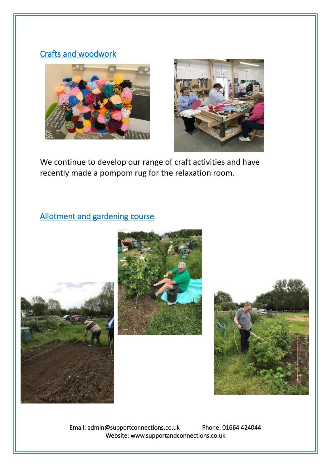#### Crafts and woodwork





We continue to develop our range of craft activities and have recently made a pompom rug for the relaxation room.

#### Allotment and gardening course







Email: admin@supportconnections.co.uk Phone: 01664 424044 Website: www.supportandconnections.co.uk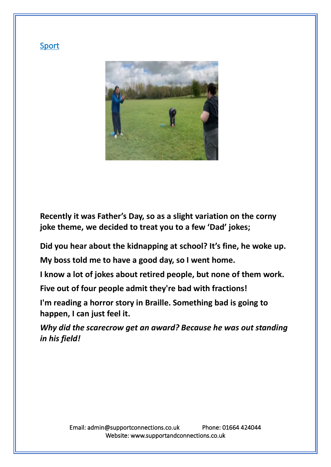

**Recently it was Father's Day, so as a slight variation on the corny joke theme, we decided to treat you to a few 'Dad' jokes;**

**Did you hear about the kidnapping at school? It's fine, he woke up.**

**My boss told me to have a good day, so I went home.**

**I know a lot of jokes about retired people, but none of them work.**

**Five out of four people admit they're bad with fractions!**

**I'm reading a horror story in Braille. Something bad is going to happen, I can just feel it.**

*Why did the scarecrow get an award? Because he was out standing in his field!*

#### Sport